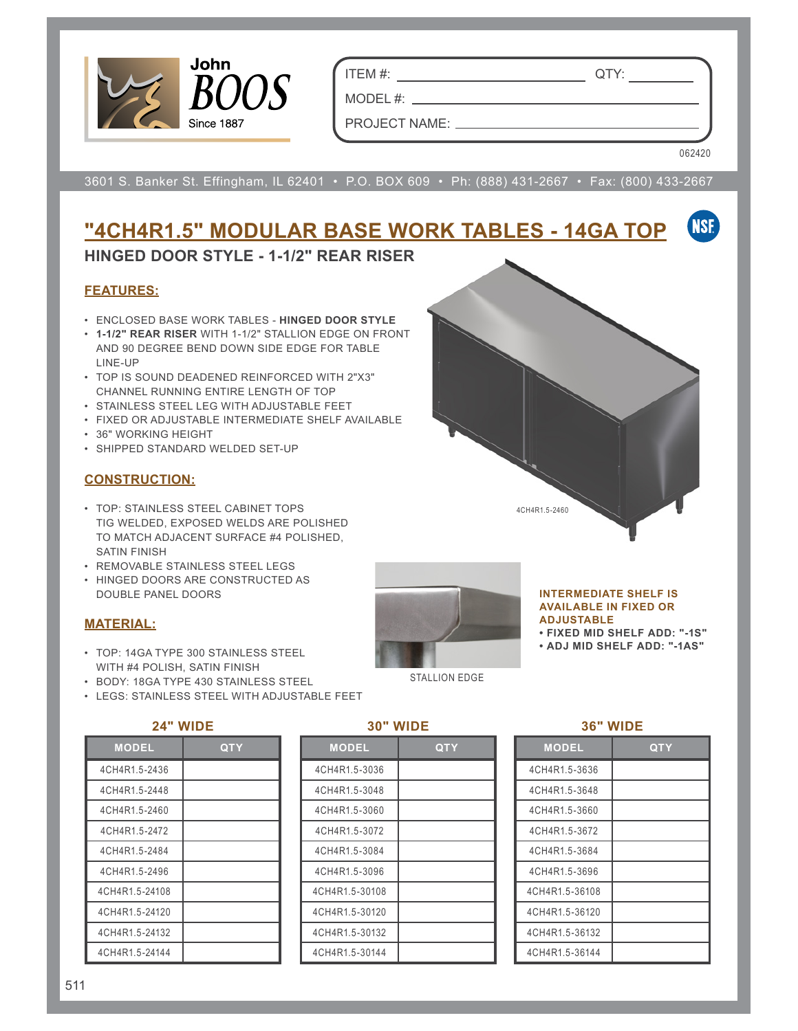

ITEM #: QTY:

MODEL #: PROJECT NAME:

062420

3601 S. Banker St. Effingham, IL 62401 • P.O. BOX 609 • Ph: (888) 431-2667 • Fax: (800) 433-2667

#### **NSF "4CH4R1.5" MODULAR BASE WORK TABLES - 14GA TOP**

### **HINGED DOOR STYLE - 1-1/2" REAR RISER**

#### **FEATURES:**

- ENCLOSED BASE WORK TABLES **HINGED DOOR STYLE**
- **1-1/2" REAR RISER** WITH 1-1/2" STALLION EDGE ON FRONT AND 90 DEGREE BEND DOWN SIDE EDGE FOR TABLE LINE-UP
- TOP IS SOUND DEADENED REINFORCED WITH 2"X3" CHANNEL RUNNING ENTIRE LENGTH OF TOP
- STAINLESS STEEL LEG WITH ADJUSTABLE FEET
- FIXED OR ADJUSTABLE INTERMEDIATE SHELF AVAILABLE
- 36" WORKING HEIGHT
- SHIPPED STANDARD WELDED SET-UP

#### **CONSTRUCTION:**

- TOP: STAINLESS STEEL CABINET TOPS TIG WELDED, EXPOSED WELDS ARE POLISHED TO MATCH ADJACENT SURFACE #4 POLISHED, SATIN FINISH
- REMOVABLE STAINLESS STEEL LEGS
- HINGED DOORS ARE CONSTRUCTED AS DOUBLE PANEL DOORS

#### **MATERIAL:**

- TOP: 14GA TYPE 300 STAINLESS STEEL WITH #4 POLISH, SATIN FINISH
- BODY: 18GA TYPE 430 STAINLESS STEEL
- LEGS: STAINLESS STEEL WITH ADJUSTABLE FEET

#### **24" WIDE**

| <b>MODEL</b>   | QTY |
|----------------|-----|
| 4CH4R1.5-2436  |     |
| 4CH4R1.5-2448  |     |
| 4CH4R1.5-2460  |     |
| 4CH4R1.5-2472  |     |
| 4CH4R1.5-2484  |     |
| 4CH4R1 5-2496  |     |
| 4CH4R1.5-24108 |     |
| 4CH4R1.5-24120 |     |
| 4CH4R1.5-24132 |     |
| 4CH4R1.5-24144 |     |

#### **30" WIDE**

STALLION EDGE

| <b>MODEL</b>   | <b>QTY</b> |
|----------------|------------|
| 4CH4R1.5-3036  |            |
| 4CH4R1.5-3048  |            |
| 4CH4R1.5-3060  |            |
| 4CH4R1.5-3072  |            |
| 4CH4R1.5-3084  |            |
| 4CH4R1.5-3096  |            |
| 4CH4R1.5-30108 |            |
| 4CH4R1.5-30120 |            |
| 4CH4R1.5-30132 |            |
| 4CH4R1.5-30144 |            |



#### **INTERMEDIATE SHELF IS AVAILABLE IN FIXED OR ADJUSTABLE**

**• FIXED MID SHELF ADD: "-1S"**

**• ADJ MID SHELF ADD: "-1AS"**

## **36" WIDE**

| <b>MODEL</b>   | <b>QTY</b> |
|----------------|------------|
| 4CH4R1.5-3636  |            |
| 4CH4R1.5-3648  |            |
| 4CH4R1.5-3660  |            |
| 4CH4R1.5-3672  |            |
| 4CH4R1.5-3684  |            |
| 4CH4R1.5-3696  |            |
| 4CH4R1.5-36108 |            |
| 4CH4R1.5-36120 |            |
| 4CH4R1.5-36132 |            |
| 4CH4R1.5-36144 |            |